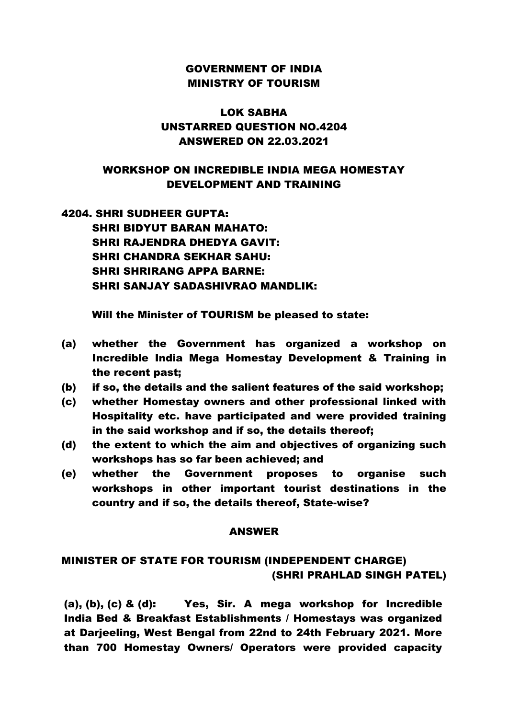### GOVERNMENT OF INDIA MINISTRY OF TOURISM

## LOK SABHA UNSTARRED QUESTION NO.4204 ANSWERED ON 22.03.2021

## WORKSHOP ON INCREDIBLE INDIA MEGA HOMESTAY DEVELOPMENT AND TRAINING

# 4204. SHRI SUDHEER GUPTA: SHRI BIDYUT BARAN MAHATO: SHRI RAJENDRA DHEDYA GAVIT: SHRI CHANDRA SEKHAR SAHU: SHRI SHRIRANG APPA BARNE: SHRI SANJAY SADASHIVRAO MANDLIK:

Will the Minister of TOURISM be pleased to state:

- (a) whether the Government has organized a workshop on Incredible India Mega Homestay Development & Training in the recent past;
- (b) if so, the details and the salient features of the said workshop;
- (c) whether Homestay owners and other professional linked with Hospitality etc. have participated and were provided training in the said workshop and if so, the details thereof;
- (d) the extent to which the aim and objectives of organizing such workshops has so far been achieved; and
- (e) whether the Government proposes to organise such workshops in other important tourist destinations in the country and if so, the details thereof, State-wise?

#### ANSWER

## MINISTER OF STATE FOR TOURISM (INDEPENDENT CHARGE) (SHRI PRAHLAD SINGH PATEL)

(a), (b), (c) & (d): Yes, Sir. A mega workshop for Incredible India Bed & Breakfast Establishments / Homestays was organized at Darjeeling, West Bengal from 22nd to 24th February 2021. More than 700 Homestay Owners/ Operators were provided capacity